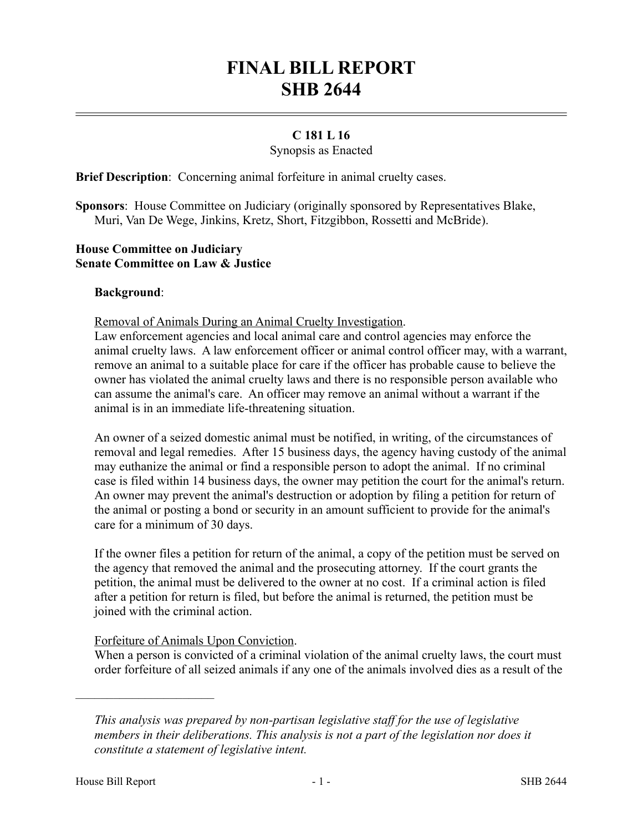# **FINAL BILL REPORT SHB 2644**

## **C 181 L 16**

#### Synopsis as Enacted

**Brief Description**: Concerning animal forfeiture in animal cruelty cases.

**Sponsors**: House Committee on Judiciary (originally sponsored by Representatives Blake, Muri, Van De Wege, Jinkins, Kretz, Short, Fitzgibbon, Rossetti and McBride).

## **House Committee on Judiciary Senate Committee on Law & Justice**

#### **Background**:

Removal of Animals During an Animal Cruelty Investigation.

Law enforcement agencies and local animal care and control agencies may enforce the animal cruelty laws. A law enforcement officer or animal control officer may, with a warrant, remove an animal to a suitable place for care if the officer has probable cause to believe the owner has violated the animal cruelty laws and there is no responsible person available who can assume the animal's care. An officer may remove an animal without a warrant if the animal is in an immediate life-threatening situation.

An owner of a seized domestic animal must be notified, in writing, of the circumstances of removal and legal remedies. After 15 business days, the agency having custody of the animal may euthanize the animal or find a responsible person to adopt the animal. If no criminal case is filed within 14 business days, the owner may petition the court for the animal's return. An owner may prevent the animal's destruction or adoption by filing a petition for return of the animal or posting a bond or security in an amount sufficient to provide for the animal's care for a minimum of 30 days.

If the owner files a petition for return of the animal, a copy of the petition must be served on the agency that removed the animal and the prosecuting attorney. If the court grants the petition, the animal must be delivered to the owner at no cost. If a criminal action is filed after a petition for return is filed, but before the animal is returned, the petition must be joined with the criminal action.

## Forfeiture of Animals Upon Conviction.

When a person is convicted of a criminal violation of the animal cruelty laws, the court must order forfeiture of all seized animals if any one of the animals involved dies as a result of the

––––––––––––––––––––––

*This analysis was prepared by non-partisan legislative staff for the use of legislative members in their deliberations. This analysis is not a part of the legislation nor does it constitute a statement of legislative intent.*